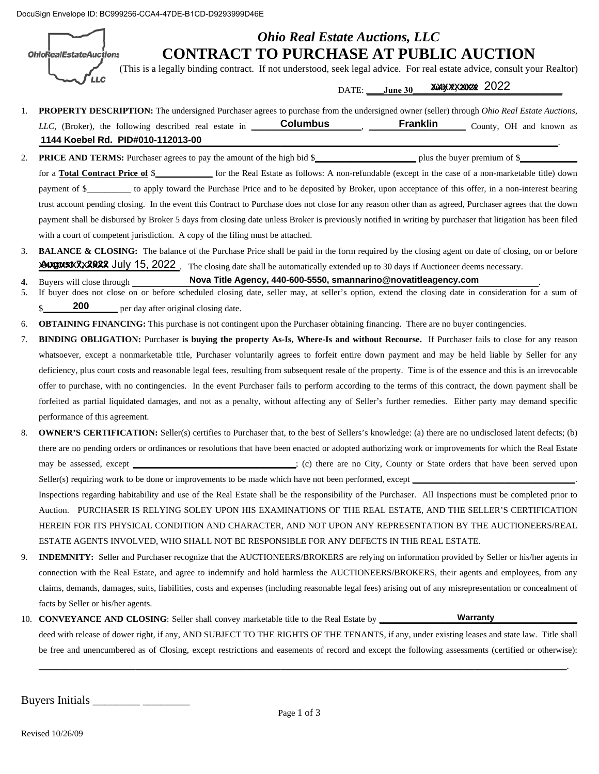DocuSign Envelope ID: BC999256-CCA4-47DE-B1CD-D9293999D46E

**OhioRealEstateAuctions** 

'LLC

### *Ohio Real Estate Auctions, LLC*  **CONTRACT TO PURCHASE AT PUBLIC AUCTION**

(This is a legally binding contract. If not understood, seek legal advice. For real estate advice, consult your Realtor)

**July 7, 2022**  $2022$ 

| DATE: ____ June 30                                                                                                                                          |
|-------------------------------------------------------------------------------------------------------------------------------------------------------------|
| <b>PROPERTY DESCRIPTION:</b> The undersigned Purchaser agrees to purchase from the undersigned owner (seller) through <i>Ohio Real Estate Auctions</i> ,    |
| <b>Franklin</b><br>LLC, (Broker), the following described real estate in <b>Columbus</b><br>County, OH and known as                                         |
| 1144 Koebel Rd. PID#010-112013-00                                                                                                                           |
| <b>PRICE AND TERMS:</b> Purchaser agrees to pay the amount of the high bid \$                                                                               |
| for a <b>Total Contract Price of \$</b> ________ for the Real Estate as follows: A non-refundable (except in the case of a non-marketable title) down       |
| payment of \$_________ to apply toward the Purchase Price and to be deposited by Broker, upon acceptance of this offer, in a non-interest bearing           |
| trust account pending closing. In the event this Contract to Purchase does not close for any reason other than as agreed, Purchaser agrees that the down    |
| payment shall be disbursed by Broker 5 days from closing date unless Broker is previously notified in writing by purchaser that litigation has been filed   |
| with a court of competent jurisdiction. A copy of the filing must be attached.                                                                              |
| <b>BALANCE &amp; CLOSING:</b> The balance of the Purchase Price shall be paid in the form required by the closing agent on date of closing, on or before    |
| <b>AUGUSTRY 2022</b> July 15, 2022. The closing date shall be automatically extended up to 30 days if Auctioneer deems necessary.                           |
| Nova Title Agency, 440-600-5550, smannarino@novatitleagency.com<br>Buyers will close through                                                                |
| If buyer does not close on or before scheduled closing date, seller may, at seller's option, extend the closing date in consideration for a sum of          |
| 200<br>per day after original closing date.                                                                                                                 |
| <b>OBTAINING FINANCING:</b> This purchase is not contingent upon the Purchaser obtaining financing. There are no buyer contingencies.                       |
| <b>BINDING OBLIGATION:</b> Purchaser is buying the property As-Is, Where-Is and without Recourse. If Purchaser fails to close for any reason                |
| whatsoever, except a nonmarketable title, Purchaser voluntarily agrees to forfeit entire down payment and may be held liable by Seller for any              |
| deficiency, plus court costs and reasonable legal fees, resulting from subsequent resale of the property. Time is of the essence and this is an irrevocable |
| offer to purchase, with no contingencies. In the event Purchaser fails to perform according to the terms of this contract, the down payment shall be        |
| forfeited as partial liquidated damages, and not as a penalty, without affecting any of Seller's further remedies. Either party may demand specific         |
| performance of this agreement.                                                                                                                              |
| <b>OWNER'S CERTIFICATION:</b> Seller(s) certifies to Purchaser that, to the best of Sellers's knowledge: (a) there are no undisclosed latent defects; (b)   |
| there are no pending orders or ordinances or resolutions that have been enacted or adopted authorizing work or improvements for which the Real Estate       |
| may be assessed, except __________________________; (c) there are no City, County or State orders that have been served upon                                |
|                                                                                                                                                             |
| Inspections regarding habitability and use of the Real Estate shall be the responsibility of the Purchaser. All Inspections must be completed prior to      |
| Auction. PURCHASER IS RELYING SOLEY UPON HIS EXAMINATIONS OF THE REAL ESTATE, AND THE SELLER'S CERTIFICATION                                                |
| HEREIN FOR ITS PHYSICAL CONDITION AND CHARACTER, AND NOT UPON ANY REPRESENTATION BY THE AUCTIONEERS/REAL                                                    |
| ESTATE AGENTS INVOLVED, WHO SHALL NOT BE RESPONSIBLE FOR ANY DEFECTS IN THE REAL ESTATE.                                                                    |
| INDEMNITY: Seller and Purchaser recognize that the AUCTIONEERS/BROKERS are relying on information provided by Seller or his/her agents in                   |
| connection with the Real Estate, and agree to indemnify and hold harmless the AUCTIONEERS/BROKERS, their agents and employees, from any                     |
| claims, demands, damages, suits, liabilities, costs and expenses (including reasonable legal fees) arising out of any misrepresentation or concealment of   |
| facts by Seller or his/her agents.                                                                                                                          |
| Warranty                                                                                                                                                    |
| deed with release of dower right, if any, AND SUBJECT TO THE RIGHTS OF THE TENANTS, if any, under existing leases and state law. Title shall                |
| be free and unencumbered as of Closing, except restrictions and easements of record and except the following assessments (certified or otherwise):          |

Buyers Initials \_\_\_\_\_\_\_\_ \_\_\_\_\_\_\_\_

**\_\_\_\_\_\_\_\_\_\_\_\_\_\_\_\_\_\_\_\_\_\_\_\_\_\_\_\_\_\_\_\_\_\_\_\_\_\_\_\_\_\_\_\_\_\_\_\_\_\_\_\_\_\_\_\_\_\_\_\_\_\_\_\_\_\_\_\_\_\_\_\_\_\_\_\_\_\_\_\_\_\_\_\_\_\_\_\_\_\_\_\_\_\_\_\_\_\_\_\_\_\_\_\_\_\_\_\_\_\_\_\_\_\_\_\_\_\_\_\_**.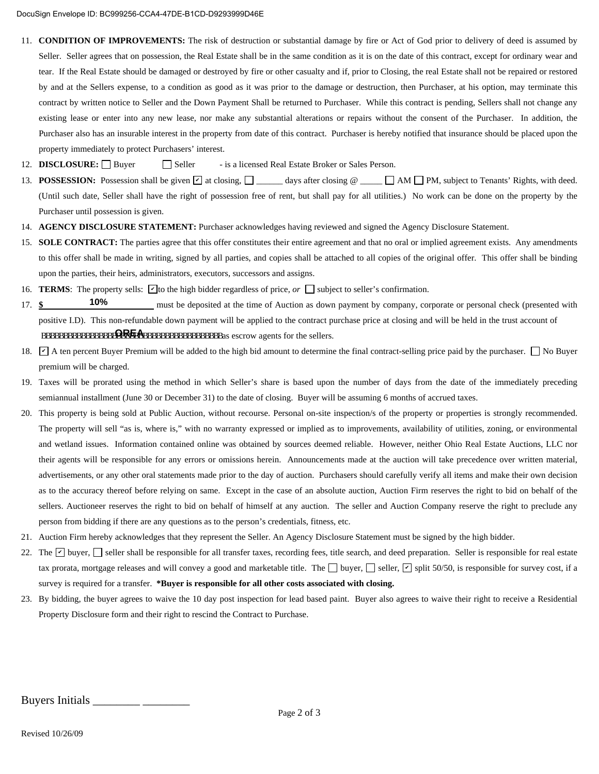- 11. **CONDITION OF IMPROVEMENTS:** The risk of destruction or substantial damage by fire or Act of God prior to delivery of deed is assumed by Seller. Seller agrees that on possession, the Real Estate shall be in the same condition as it is on the date of this contract, except for ordinary wear and tear. If the Real Estate should be damaged or destroyed by fire or other casualty and if, prior to Closing, the real Estate shall not be repaired or restored by and at the Sellers expense, to a condition as good as it was prior to the damage or destruction, then Purchaser, at his option, may terminate this contract by written notice to Seller and the Down Payment Shall be returned to Purchaser. While this contract is pending, Sellers shall not change any existing lease or enter into any new lease, nor make any substantial alterations or repairs without the consent of the Purchaser. In addition, the Purchaser also has an insurable interest in the property from date of this contract. Purchaser is hereby notified that insurance should be placed upon the property immediately to protect Purchasers' interest.
- 12. **DISCLOSURE:** Buyer Seller is a licensed Real Estate Broker or Sales Person.
- 13. **POSSESSION:** Possession shall be given  $\Box$  at closing,  $\Box$  and days after closing  $\mathcal{O}$  and  $\Box$  PM, subject to Tenants' Rights, with deed. (Until such date, Seller shall have the right of possession free of rent, but shall pay for all utilities.) No work can be done on the property by the Purchaser until possession is given.
- 14. **AGENCY DISCLOSURE STATEMENT:** Purchaser acknowledges having reviewed and signed the Agency Disclosure Statement.
- 15. **SOLE CONTRACT:** The parties agree that this offer constitutes their entire agreement and that no oral or implied agreement exists. Any amendments to this offer shall be made in writing, signed by all parties, and copies shall be attached to all copies of the original offer. This offer shall be binding upon the parties, their heirs, administrators, executors, successors and assigns.
- 16. **TERMS**: The property sells:  $\Box$  to the high bidder regardless of price, *or*  $\Box$  subject to seller's confirmation.
- 17. **\$ 10%** must be deposited at the time of Auction as down payment by company, corporate or personal check (presented with positive I.D). This non-refundable down payment will be applied to the contract purchase price at closing and will be held in the trust account of BBBBBBBBBBBBBBBBBBBBBBBBBBBBBBBBBBBBBBBBBas escrow agents for the sellers. **OREA 10%**
- 18.  $\Box$  A ten percent Buyer Premium will be added to the high bid amount to determine the final contract-selling price paid by the purchaser.  $\Box$  No Buyer premium will be charged.
- 19. Taxes will be prorated using the method in which Seller's share is based upon the number of days from the date of the immediately preceding semiannual installment (June 30 or December 31) to the date of closing. Buyer will be assuming 6 months of accrued taxes.
- 20. This property is being sold at Public Auction, without recourse. Personal on-site inspection/s of the property or properties is strongly recommended. The property will sell "as is, where is," with no warranty expressed or implied as to improvements, availability of utilities, zoning, or environmental and wetland issues. Information contained online was obtained by sources deemed reliable. However, neither Ohio Real Estate Auctions, LLC nor their agents will be responsible for any errors or omissions herein. Announcements made at the auction will take precedence over written material, advertisements, or any other oral statements made prior to the day of auction. Purchasers should carefully verify all items and make their own decision as to the accuracy thereof before relying on same. Except in the case of an absolute auction, Auction Firm reserves the right to bid on behalf of the sellers. Auctioneer reserves the right to bid on behalf of himself at any auction. The seller and Auction Company reserve the right to preclude any person from bidding if there are any questions as to the person's credentials, fitness, etc.
- 21. Auction Firm hereby acknowledges that they represent the Seller. An Agency Disclosure Statement must be signed by the high bidder.
- 22. The  $\vee$  buyer, Seller shall be responsible for all transfer taxes, recording fees, title search, and deed preparation. Seller is responsible for real estate tax prorata, mortgage releases and will convey a good and marketable title. The  $\Box$  buyer,  $\Box$  seller,  $\Box$  split 50/50, is responsible for survey cost, if a survey is required for a transfer. **\*Buyer is responsible for all other costs associated with closing.**
- 23. By bidding, the buyer agrees to waive the 10 day post inspection for lead based paint. Buyer also agrees to waive their right to receive a Residential Property Disclosure form and their right to rescind the Contract to Purchase.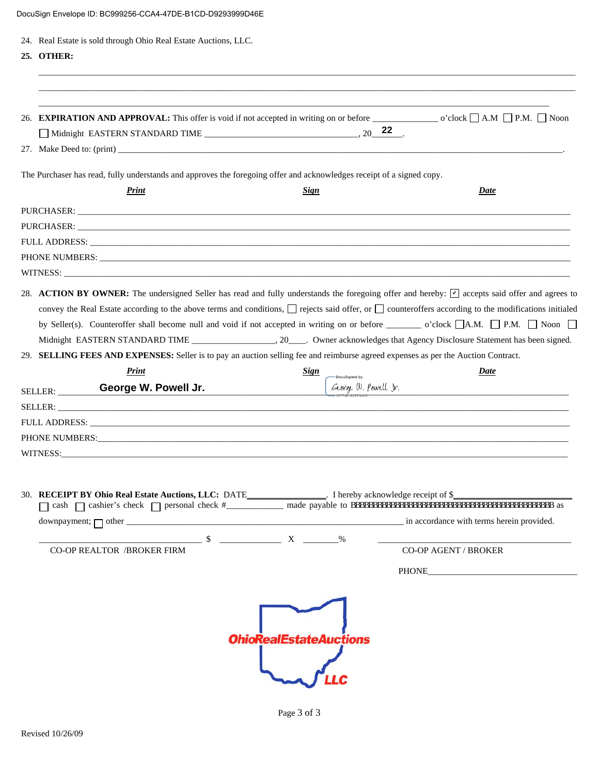| 24. Real Estate is sold through Ohio Real Estate Auctions, LLC.                                                                                                                                                                |                                                                                                                                                         |                                                                                                                                                                                                                                                                                                                    |
|--------------------------------------------------------------------------------------------------------------------------------------------------------------------------------------------------------------------------------|---------------------------------------------------------------------------------------------------------------------------------------------------------|--------------------------------------------------------------------------------------------------------------------------------------------------------------------------------------------------------------------------------------------------------------------------------------------------------------------|
| 25. OTHER:                                                                                                                                                                                                                     |                                                                                                                                                         |                                                                                                                                                                                                                                                                                                                    |
|                                                                                                                                                                                                                                |                                                                                                                                                         |                                                                                                                                                                                                                                                                                                                    |
|                                                                                                                                                                                                                                |                                                                                                                                                         |                                                                                                                                                                                                                                                                                                                    |
|                                                                                                                                                                                                                                |                                                                                                                                                         |                                                                                                                                                                                                                                                                                                                    |
|                                                                                                                                                                                                                                |                                                                                                                                                         |                                                                                                                                                                                                                                                                                                                    |
| The Purchaser has read, fully understands and approves the foregoing offer and acknowledges receipt of a signed copy.                                                                                                          |                                                                                                                                                         |                                                                                                                                                                                                                                                                                                                    |
| Print                                                                                                                                                                                                                          | Sign                                                                                                                                                    | Date                                                                                                                                                                                                                                                                                                               |
|                                                                                                                                                                                                                                |                                                                                                                                                         |                                                                                                                                                                                                                                                                                                                    |
|                                                                                                                                                                                                                                |                                                                                                                                                         |                                                                                                                                                                                                                                                                                                                    |
|                                                                                                                                                                                                                                |                                                                                                                                                         |                                                                                                                                                                                                                                                                                                                    |
|                                                                                                                                                                                                                                |                                                                                                                                                         |                                                                                                                                                                                                                                                                                                                    |
| WITNESS: New York Contract the Contract of the Contract of the Contract of the Contract of the Contract of the Contract of the Contract of the Contract of the Contract of the Contract of the Contract of the Contract of the |                                                                                                                                                         |                                                                                                                                                                                                                                                                                                                    |
|                                                                                                                                                                                                                                |                                                                                                                                                         | 28. ACTION BY OWNER: The undersigned Seller has read and fully understands the foregoing offer and hereby: [C] accepts said offer and agrees to<br>convey the Real Estate according to the above terms and conditions, $\Box$ rejects said offer, or $\Box$ counteroffers according to the modifications initialed |
|                                                                                                                                                                                                                                | by Seller(s). Counteroffer shall become null and void if not accepted in writing on or before $\Box$ o'clock $\Box$ A.M. $\Box$ P.M. $\Box$ Noon $\Box$ |                                                                                                                                                                                                                                                                                                                    |
| 29. SELLING FEES AND EXPENSES: Seller is to pay an auction selling fee and reimburse agreed expenses as per the Auction Contract.                                                                                              |                                                                                                                                                         |                                                                                                                                                                                                                                                                                                                    |
| Print                                                                                                                                                                                                                          | <b>Sign</b><br>-DocuSigned by:                                                                                                                          | Date                                                                                                                                                                                                                                                                                                               |
| George W. Powell Jr.<br>SELLER:                                                                                                                                                                                                | George W. Powell Ir.                                                                                                                                    |                                                                                                                                                                                                                                                                                                                    |
|                                                                                                                                                                                                                                |                                                                                                                                                         |                                                                                                                                                                                                                                                                                                                    |
| FULL ADDRESS: The contract of the contract of the contract of the contract of the contract of the contract of the contract of the contract of the contract of the contract of the contract of the contract of the contract of  |                                                                                                                                                         |                                                                                                                                                                                                                                                                                                                    |
| <b>PHONE NUMBERS:</b><br>WITNESS:                                                                                                                                                                                              |                                                                                                                                                         |                                                                                                                                                                                                                                                                                                                    |
|                                                                                                                                                                                                                                |                                                                                                                                                         |                                                                                                                                                                                                                                                                                                                    |
|                                                                                                                                                                                                                                |                                                                                                                                                         |                                                                                                                                                                                                                                                                                                                    |
|                                                                                                                                                                                                                                |                                                                                                                                                         |                                                                                                                                                                                                                                                                                                                    |
|                                                                                                                                                                                                                                |                                                                                                                                                         |                                                                                                                                                                                                                                                                                                                    |
|                                                                                                                                                                                                                                |                                                                                                                                                         |                                                                                                                                                                                                                                                                                                                    |
| <b>CO-OP REALTOR /BROKER FIRM</b>                                                                                                                                                                                              |                                                                                                                                                         | CO-OP AGENT / BROKER                                                                                                                                                                                                                                                                                               |
|                                                                                                                                                                                                                                |                                                                                                                                                         | PHONE <b>PHONE</b>                                                                                                                                                                                                                                                                                                 |

| Page 3 of 3 |
|-------------|
|-------------|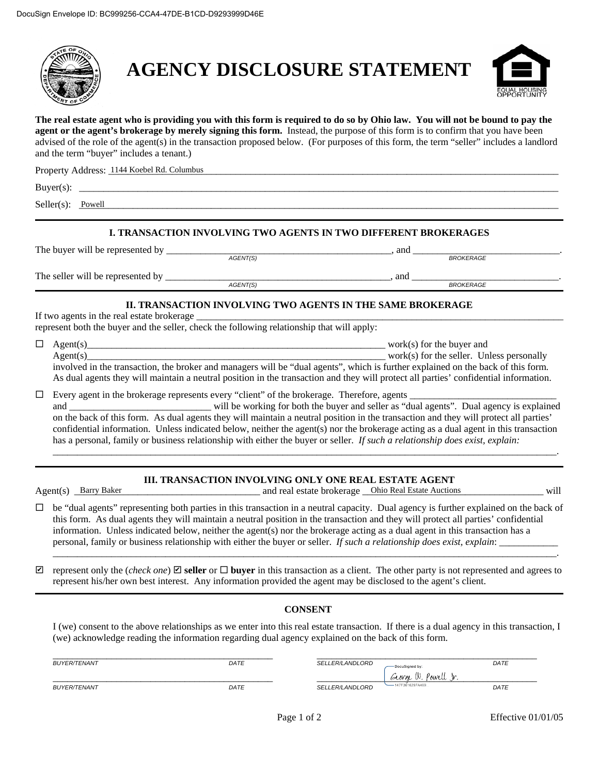

## **AGENCY DISCLOSURE STATEMENT**



**The real estate agent who is providing you with this form is required to do so by Ohio law. You will not be bound to pay the agent or the agent's brokerage by merely signing this form.** Instead, the purpose of this form is to confirm that you have been advised of the role of the agent(s) in the transaction proposed below. (For purposes of this form, the term "seller" includes a landlord and the term "buyer" includes a tenant.)

| Property Address: 1144 Koebel Rd. Columbus |  |
|--------------------------------------------|--|
| $Buyer(s)$ :                               |  |
| ______                                     |  |

 $Seller(s): \underline{Power}$ 

### **I. TRANSACTION INVOLVING TWO AGENTS IN TWO DIFFERENT BROKERAGES**

| The buyer will be represented by  |          | and |                  |  |
|-----------------------------------|----------|-----|------------------|--|
|                                   | AGENT(S) |     | <b>BROKERAGE</b> |  |
| The seller will be represented by |          | ano |                  |  |
|                                   | AGENT(S) |     | <b>BROKERAGE</b> |  |

### **II. TRANSACTION INVOLVING TWO AGENTS IN THE SAME BROKERAGE**

If two agents in the real estate brokerage represent both the buyer and the seller, check the following relationship that will apply:

|   | represent both the buyer and the sener, encen the following relationship that will apply. |                |
|---|-------------------------------------------------------------------------------------------|----------------|
| _ |                                                                                           | for the buver. |

| Agent( |                                   | for the seller.<br>. 1 - <i>1</i> | Unless personally |
|--------|-----------------------------------|-----------------------------------|-------------------|
|        | the control of the control of the |                                   |                   |

involved in the transaction, the broker and managers will be "dual agents", which is further explained on the back of this form. As dual agents they will maintain a neutral position in the transaction and they will protect all parties' confidential information.

 $\Box$  Every agent in the brokerage represents every "client" of the brokerage. Therefore, agents

and \_\_\_\_\_\_\_\_\_\_\_\_\_\_\_\_\_\_\_\_\_\_\_\_\_\_\_\_\_ will be working for both the buyer and seller as "dual agents". Dual agency is explained on the back of this form. As dual agents they will maintain a neutral position in the transaction and they will protect all parties' confidential information. Unless indicated below, neither the agent(s) nor the brokerage acting as a dual agent in this transaction has a personal, family or business relationship with either the buyer or seller. *If such a relationship does exist, explain:*  **Powell**<br> **EXECUTED INTOXIMENT TWO AGENTS IN TWO DIFFERENT BROKER**<br> **EXECUTED INTOXIMENT TO AGENTS**<br> **EXECUTED AGENTS**<br> **EXECUTED AGENTS**<br> **EXECUTED ANSACTION INVOLVING TWO AGENTS IN THE SAME BROKERAL<br>
THE SAME BROKER OF** 

*\_\_\_\_\_\_\_\_\_\_\_\_*\_\_\_\_\_\_\_\_\_\_\_\_\_\_\_\_\_\_\_\_\_\_\_\_\_\_\_\_\_\_\_\_\_\_\_\_\_\_\_\_\_\_\_\_\_\_\_\_\_\_\_\_\_\_\_\_\_\_\_\_\_\_\_\_\_\_\_\_\_\_\_\_\_\_\_\_\_\_\_\_\_\_\_\_\_\_\_\_\_\_\_.

### **III. TRANSACTION INVOLVING ONLY ONE REAL ESTATE AGENT**

Agent(s) Barry Baker and Later and real estate brokerage Ohio Real Estate Auctions will

 $\Box$  be "dual agents" representing both parties in this transaction in a neutral capacity. Dual agency is further explained on the back of this form. As dual agents they will maintain a neutral position in the transaction and they will protect all parties' confidential information. Unless indicated below, neither the agent(s) nor the brokerage acting as a dual agent in this transaction has a personal, family or business relationship with either the buyer or seller. *If such a relationship does exist, explain*: \_\_\_\_\_\_\_\_\_\_\_\_

 $\Box$  represent only the (*check one*)  $\Box$  **seller** or  $\Box$  **buyer** in this transaction as a client. The other party is not represented and agrees to represent his/her own best interest. Any information provided the agent may be disclosed to the agent's client.

\_\_\_\_\_\_\_\_\_\_\_\_\_\_\_\_\_\_\_\_\_\_\_\_\_\_\_\_\_\_\_\_\_\_\_\_\_\_\_\_\_\_\_\_\_\_\_\_\_\_\_\_\_\_\_\_\_\_\_\_\_\_\_\_\_\_\_\_\_\_\_\_\_\_\_\_\_\_\_\_\_\_\_\_\_\_\_\_\_\_\_\_\_\_\_\_\_\_\_\_\_\_\_.

### **CONSENT**

I (we) consent to the above relationships as we enter into this real estate transaction. If there is a dual agency in this transaction, I (we) acknowledge reading the information regarding dual agency explained on the back of this form.

| <i>BUYER/TENANT</i> | DATE | <i>SELLER/LANDLORD</i> | -DocuSianed by:                                    | DATE |
|---------------------|------|------------------------|----------------------------------------------------|------|
| <i>BUYER/TENANT</i> | DATE | SELLER/LANDLORD        | George W.<br><sup>V</sup> owell<br>-47F3616297A469 | DATE |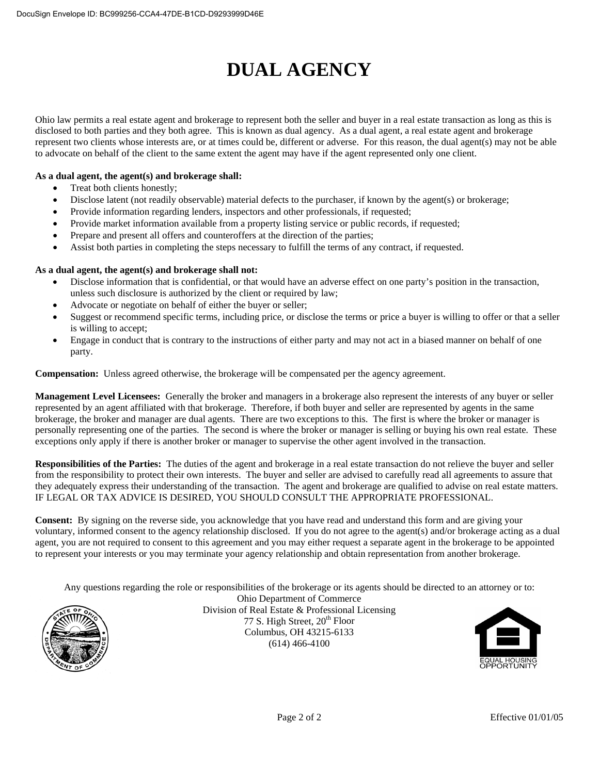# **DUAL AGENCY**

Ohio law permits a real estate agent and brokerage to represent both the seller and buyer in a real estate transaction as long as this is disclosed to both parties and they both agree. This is known as dual agency. As a dual agent, a real estate agent and brokerage represent two clients whose interests are, or at times could be, different or adverse. For this reason, the dual agent(s) may not be able to advocate on behalf of the client to the same extent the agent may have if the agent represented only one client.

### **As a dual agent, the agent(s) and brokerage shall:**

- Treat both clients honestly;
- Disclose latent (not readily observable) material defects to the purchaser, if known by the agent(s) or brokerage;
- Provide information regarding lenders, inspectors and other professionals, if requested;
- Provide market information available from a property listing service or public records, if requested;
- Prepare and present all offers and counteroffers at the direction of the parties;
- Assist both parties in completing the steps necessary to fulfill the terms of any contract, if requested.

### **As a dual agent, the agent(s) and brokerage shall not:**

- Disclose information that is confidential, or that would have an adverse effect on one party's position in the transaction, unless such disclosure is authorized by the client or required by law;
- Advocate or negotiate on behalf of either the buyer or seller;
- Suggest or recommend specific terms, including price, or disclose the terms or price a buyer is willing to offer or that a seller is willing to accept;
- Engage in conduct that is contrary to the instructions of either party and may not act in a biased manner on behalf of one party.

**Compensation:** Unless agreed otherwise, the brokerage will be compensated per the agency agreement.

**Management Level Licensees:** Generally the broker and managers in a brokerage also represent the interests of any buyer or seller represented by an agent affiliated with that brokerage. Therefore, if both buyer and seller are represented by agents in the same brokerage, the broker and manager are dual agents. There are two exceptions to this. The first is where the broker or manager is personally representing one of the parties. The second is where the broker or manager is selling or buying his own real estate. These exceptions only apply if there is another broker or manager to supervise the other agent involved in the transaction.

**Responsibilities of the Parties:** The duties of the agent and brokerage in a real estate transaction do not relieve the buyer and seller from the responsibility to protect their own interests. The buyer and seller are advised to carefully read all agreements to assure that they adequately express their understanding of the transaction. The agent and brokerage are qualified to advise on real estate matters. IF LEGAL OR TAX ADVICE IS DESIRED, YOU SHOULD CONSULT THE APPROPRIATE PROFESSIONAL.

**Consent:** By signing on the reverse side, you acknowledge that you have read and understand this form and are giving your voluntary, informed consent to the agency relationship disclosed. If you do not agree to the agent(s) and/or brokerage acting as a dual agent, you are not required to consent to this agreement and you may either request a separate agent in the brokerage to be appointed to represent your interests or you may terminate your agency relationship and obtain representation from another brokerage.

Any questions regarding the role or responsibilities of the brokerage or its agents should be directed to an attorney or to:



Ohio Department of Commerce Division of Real Estate & Professional Licensing 77 S. High Street,  $20^{th}$  Floor Columbus, OH 43215-6133 (614) 466-4100

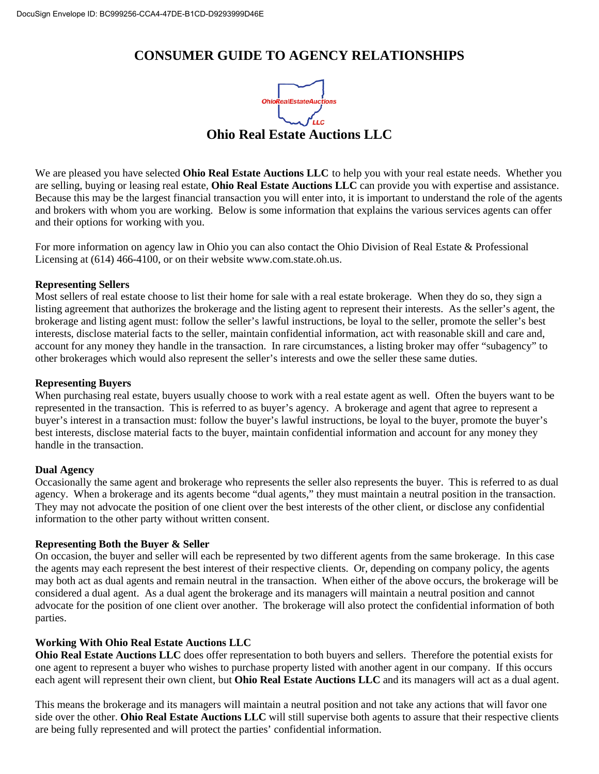### **CONSUMER GUIDE TO AGENCY RELATIONSHIPS**



We are pleased you have selected **Ohio Real Estate Auctions LLC** to help you with your real estate needs. Whether you are selling, buying or leasing real estate, **Ohio Real Estate Auctions LLC** can provide you with expertise and assistance. Because this may be the largest financial transaction you will enter into, it is important to understand the role of the agents and brokers with whom you are working. Below is some information that explains the various services agents can offer and their options for working with you.

For more information on agency law in Ohio you can also contact the Ohio Division of Real Estate & Professional Licensing at (614) 466-4100, or on their website www.com.state.oh.us.

### **Representing Sellers**

Most sellers of real estate choose to list their home for sale with a real estate brokerage. When they do so, they sign a listing agreement that authorizes the brokerage and the listing agent to represent their interests. As the seller's agent, the brokerage and listing agent must: follow the seller's lawful instructions, be loyal to the seller, promote the seller's best interests, disclose material facts to the seller, maintain confidential information, act with reasonable skill and care and, account for any money they handle in the transaction. In rare circumstances, a listing broker may offer "subagency" to other brokerages which would also represent the seller's interests and owe the seller these same duties.

### **Representing Buyers**

When purchasing real estate, buyers usually choose to work with a real estate agent as well. Often the buyers want to be represented in the transaction. This is referred to as buyer's agency. A brokerage and agent that agree to represent a buyer's interest in a transaction must: follow the buyer's lawful instructions, be loyal to the buyer, promote the buyer's best interests, disclose material facts to the buyer, maintain confidential information and account for any money they handle in the transaction.

### **Dual Agency**

Occasionally the same agent and brokerage who represents the seller also represents the buyer. This is referred to as dual agency. When a brokerage and its agents become "dual agents," they must maintain a neutral position in the transaction. They may not advocate the position of one client over the best interests of the other client, or disclose any confidential information to the other party without written consent.

### **Representing Both the Buyer & Seller**

On occasion, the buyer and seller will each be represented by two different agents from the same brokerage. In this case the agents may each represent the best interest of their respective clients. Or, depending on company policy, the agents may both act as dual agents and remain neutral in the transaction. When either of the above occurs, the brokerage will be considered a dual agent. As a dual agent the brokerage and its managers will maintain a neutral position and cannot advocate for the position of one client over another. The brokerage will also protect the confidential information of both parties.

### **Working With Ohio Real Estate Auctions LLC**

**Ohio Real Estate Auctions LLC** does offer representation to both buyers and sellers. Therefore the potential exists for one agent to represent a buyer who wishes to purchase property listed with another agent in our company. If this occurs each agent will represent their own client, but **Ohio Real Estate Auctions LLC** and its managers will act as a dual agent.

This means the brokerage and its managers will maintain a neutral position and not take any actions that will favor one side over the other. **Ohio Real Estate Auctions LLC** will still supervise both agents to assure that their respective clients are being fully represented and will protect the parties' confidential information.